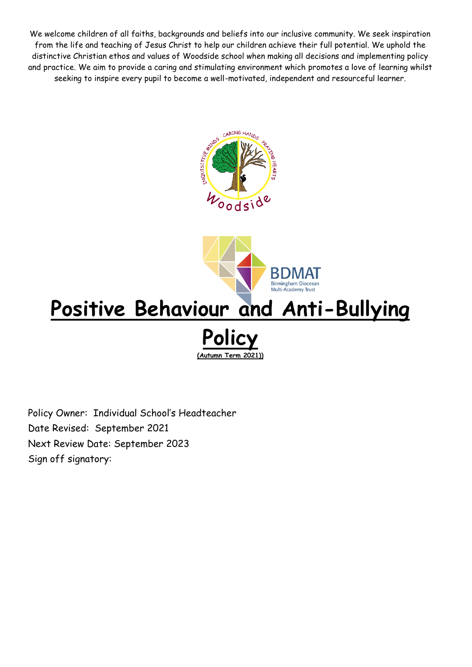We welcome children of all faiths, backgrounds and beliefs into our inclusive community. We seek inspiration from the life and teaching of Jesus Christ to help our children achieve their full potential. We uphold the distinctive Christian ethos and values of Woodside school when making all decisions and implementing policy and practice. We aim to provide a caring and stimulating environment which promotes a love of learning whilst seeking to inspire every pupil to become a well-motivated, independent and resourceful learner.





# **Positive Behaviour and Anti-Bullying Policy**

**(Autumn Term 2021))**

Policy Owner: Individual School's Headteacher Date Revised: September 2021 Next Review Date: September 2023 Sign off signatory: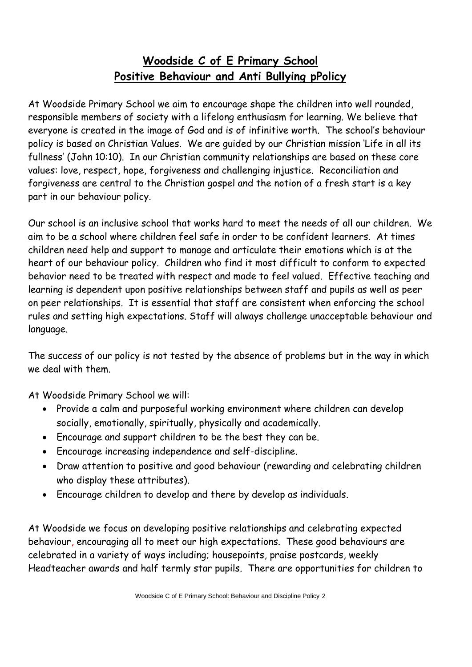# **Woodside C of E Primary School Positive Behaviour and Anti Bullying pPolicy**

At Woodside Primary School we aim to encourage shape the children into well rounded, responsible members of society with a lifelong enthusiasm for learning. We believe that everyone is created in the image of God and is of infinitive worth. The school's behaviour policy is based on Christian Values. We are guided by our Christian mission 'Life in all its fullness' (John 10:10). In our Christian community relationships are based on these core values: love, respect, hope, forgiveness and challenging injustice. Reconciliation and forgiveness are central to the Christian gospel and the notion of a fresh start is a key part in our behaviour policy.

Our school is an inclusive school that works hard to meet the needs of all our children. We aim to be a school where children feel safe in order to be confident learners. At times children need help and support to manage and articulate their emotions which is at the heart of our behaviour policy. Children who find it most difficult to conform to expected behavior need to be treated with respect and made to feel valued. Effective teaching and learning is dependent upon positive relationships between staff and pupils as well as peer on peer relationships. It is essential that staff are consistent when enforcing the school rules and setting high expectations. Staff will always challenge unacceptable behaviour and language.

The success of our policy is not tested by the absence of problems but in the way in which we deal with them.

At Woodside Primary School we will:

- Provide a calm and purposeful working environment where children can develop socially, emotionally, spiritually, physically and academically.
- Encourage and support children to be the best they can be.
- Encourage increasing independence and self-discipline.
- Draw attention to positive and good behaviour (rewarding and celebrating children who display these attributes).
- Encourage children to develop and there by develop as individuals.

At Woodside we focus on developing positive relationships and celebrating expected behaviour, encouraging all to meet our high expectations. These good behaviours are celebrated in a variety of ways including; housepoints, praise postcards, weekly Headteacher awards and half termly star pupils. There are opportunities for children to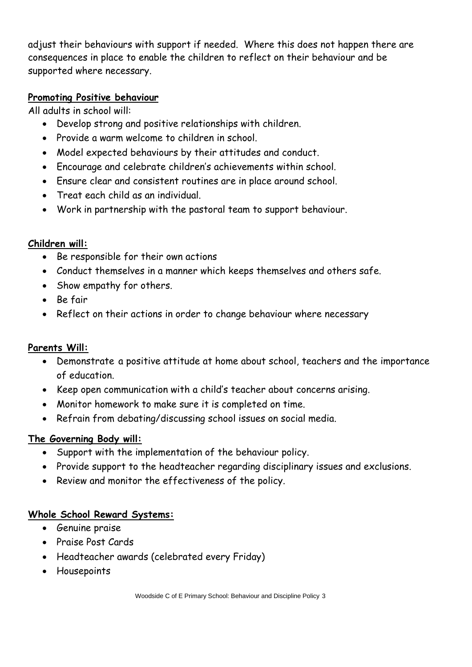adjust their behaviours with support if needed. Where this does not happen there are consequences in place to enable the children to reflect on their behaviour and be supported where necessary.

# **Promoting Positive behaviour**

All adults in school will:

- Develop strong and positive relationships with children.
- Provide a warm welcome to children in school.
- Model expected behaviours by their attitudes and conduct.
- Encourage and celebrate children's achievements within school.
- Ensure clear and consistent routines are in place around school.
- Treat each child as an individual.
- Work in partnership with the pastoral team to support behaviour.

# **Children will:**

- Be responsible for their own actions
- Conduct themselves in a manner which keeps themselves and others safe.
- Show empathy for others.
- Be fair
- Reflect on their actions in order to change behaviour where necessary

# **Parents Will:**

- Demonstrate a positive attitude at home about school, teachers and the importance of education.
- Keep open communication with a child's teacher about concerns arising.
- Monitor homework to make sure it is completed on time.
- Refrain from debating/discussing school issues on social media.

# **The Governing Body will:**

- Support with the implementation of the behaviour policy.
- Provide support to the headteacher regarding disciplinary issues and exclusions.
- Review and monitor the effectiveness of the policy.

# **Whole School Reward Systems:**

- Genuine praise
- Praise Post Cards
- Headteacher awards (celebrated every Friday)
- Housepoints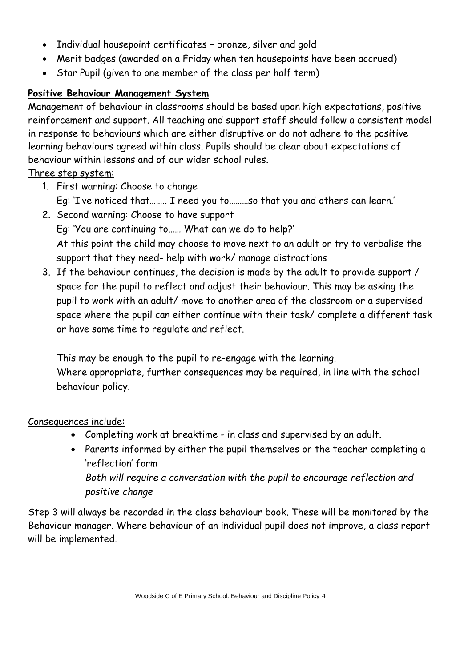- Individual housepoint certificates bronze, silver and gold
- Merit badges (awarded on a Friday when ten housepoints have been accrued)
- Star Pupil (given to one member of the class per half term)

# **Positive Behaviour Management System**

Management of behaviour in classrooms should be based upon high expectations, positive reinforcement and support. All teaching and support staff should follow a consistent model in response to behaviours which are either disruptive or do not adhere to the positive learning behaviours agreed within class. Pupils should be clear about expectations of behaviour within lessons and of our wider school rules.

# Three step system:

- 1. First warning: Choose to change Eg: 'I've noticed that…….. I need you to………so that you and others can learn.'
- 2. Second warning: Choose to have support Eg: 'You are continuing to…… What can we do to help?' At this point the child may choose to move next to an adult or try to verbalise the support that they need- help with work/ manage distractions
- 3. If the behaviour continues, the decision is made by the adult to provide support / space for the pupil to reflect and adjust their behaviour. This may be asking the pupil to work with an adult/ move to another area of the classroom or a supervised space where the pupil can either continue with their task/ complete a different task or have some time to regulate and reflect.

This may be enough to the pupil to re-engage with the learning. Where appropriate, further consequences may be required, in line with the school behaviour policy.

# Consequences include:

- Completing work at breaktime in class and supervised by an adult.
- Parents informed by either the pupil themselves or the teacher completing a 'reflection' form *Both will require a conversation with the pupil to encourage reflection and positive change*

Step 3 will always be recorded in the class behaviour book. These will be monitored by the Behaviour manager. Where behaviour of an individual pupil does not improve, a class report will be implemented.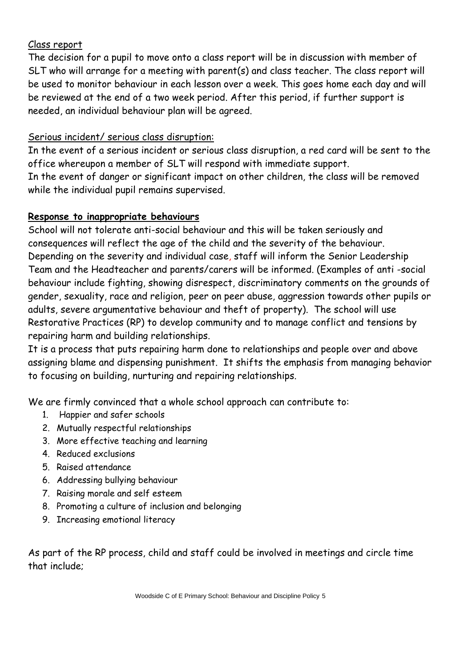# Class report

The decision for a pupil to move onto a class report will be in discussion with member of SLT who will arrange for a meeting with parent(s) and class teacher. The class report will be used to monitor behaviour in each lesson over a week. This goes home each day and will be reviewed at the end of a two week period. After this period, if further support is needed, an individual behaviour plan will be agreed.

#### Serious incident/ serious class disruption:

In the event of a serious incident or serious class disruption, a red card will be sent to the office whereupon a member of SLT will respond with immediate support. In the event of danger or significant impact on other children, the class will be removed while the individual pupil remains supervised.

#### **Response to inappropriate behaviours**

School will not tolerate anti-social behaviour and this will be taken seriously and consequences will reflect the age of the child and the severity of the behaviour. Depending on the severity and individual case, staff will inform the Senior Leadership Team and the Headteacher and parents/carers will be informed. (Examples of anti -social behaviour include fighting, showing disrespect, discriminatory comments on the grounds of gender, sexuality, race and religion, peer on peer abuse, aggression towards other pupils or adults, severe argumentative behaviour and theft of property). The school will use Restorative Practices (RP) to develop community and to manage conflict and tensions by repairing harm and building relationships.

It is a process that puts repairing harm done to relationships and people over and above assigning blame and dispensing punishment. It shifts the emphasis from managing behavior to focusing on building, nurturing and repairing relationships.

We are firmly convinced that a whole school approach can contribute to:

- 1. Happier and safer schools
- 2. Mutually respectful relationships
- 3. More effective teaching and learning
- 4. Reduced exclusions
- 5. Raised attendance
- 6. Addressing bullying behaviour
- 7. Raising morale and self esteem
- 8. Promoting a culture of inclusion and belonging
- 9. Increasing emotional literacy

As part of the RP process, child and staff could be involved in meetings and circle time that include;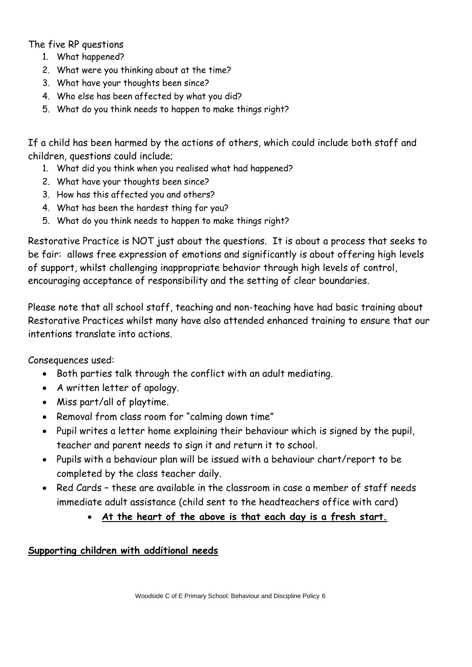# The five RP questions

- 1. What happened?
- 2. What were you thinking about at the time?
- 3. What have your thoughts been since?
- 4. Who else has been affected by what you did?
- 5. What do you think needs to happen to make things right?

If a child has been harmed by the actions of others, which could include both staff and children, questions could include;

- 1. What did you think when you realised what had happened?
- 2. What have your thoughts been since?
- 3. How has this affected you and others?
- 4. What has been the hardest thing for you?
- 5. What do you think needs to happen to make things right?

Restorative Practice is NOT just about the questions. It is about a process that seeks to be fair: allows free expression of emotions and significantly is about offering high levels of support, whilst challenging inappropriate behavior through high levels of control, encouraging acceptance of responsibility and the setting of clear boundaries.

Please note that all school staff, teaching and non-teaching have had basic training about Restorative Practices whilst many have also attended enhanced training to ensure that our intentions translate into actions.

Consequences used:

- Both parties talk through the conflict with an adult mediating.
- A written letter of apology.
- Miss part/all of playtime.
- Removal from class room for "calming down time"
- Pupil writes a letter home explaining their behaviour which is signed by the pupil, teacher and parent needs to sign it and return it to school.
- Pupils with a behaviour plan will be issued with a behaviour chart/report to be completed by the class teacher daily.
- Red Cards these are available in the classroom in case a member of staff needs immediate adult assistance (child sent to the headteachers office with card)
	- **At the heart of the above is that each day is a fresh start.**

#### **Supporting children with additional needs**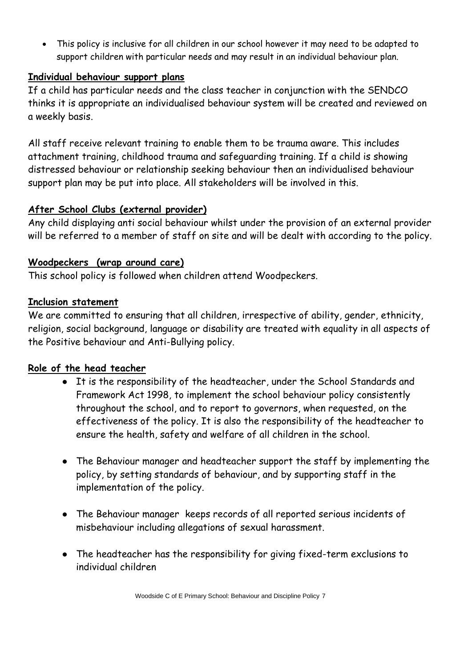This policy is inclusive for all children in our school however it may need to be adapted to support children with particular needs and may result in an individual behaviour plan.

# **Individual behaviour support plans**

If a child has particular needs and the class teacher in conjunction with the SENDCO thinks it is appropriate an individualised behaviour system will be created and reviewed on a weekly basis.

All staff receive relevant training to enable them to be trauma aware. This includes attachment training, childhood trauma and safeguarding training. If a child is showing distressed behaviour or relationship seeking behaviour then an individualised behaviour support plan may be put into place. All stakeholders will be involved in this.

# **After School Clubs (external provider)**

Any child displaying anti social behaviour whilst under the provision of an external provider will be referred to a member of staff on site and will be dealt with according to the policy.

# **Woodpeckers (wrap around care)**

This school policy is followed when children attend Woodpeckers.

# **Inclusion statement**

We are committed to ensuring that all children, irrespective of ability, gender, ethnicity, religion, social background, language or disability are treated with equality in all aspects of the Positive behaviour and Anti-Bullying policy.

# **Role of the head teacher**

- It is the responsibility of the headteacher, under the School Standards and Framework Act 1998, to implement the school behaviour policy consistently throughout the school, and to report to governors, when requested, on the effectiveness of the policy. It is also the responsibility of the headteacher to ensure the health, safety and welfare of all children in the school.
- The Behaviour manager and headteacher support the staff by implementing the policy, by setting standards of behaviour, and by supporting staff in the implementation of the policy.
- The Behaviour manager keeps records of all reported serious incidents of misbehaviour including allegations of sexual harassment.
- The headteacher has the responsibility for giving fixed-term exclusions to individual children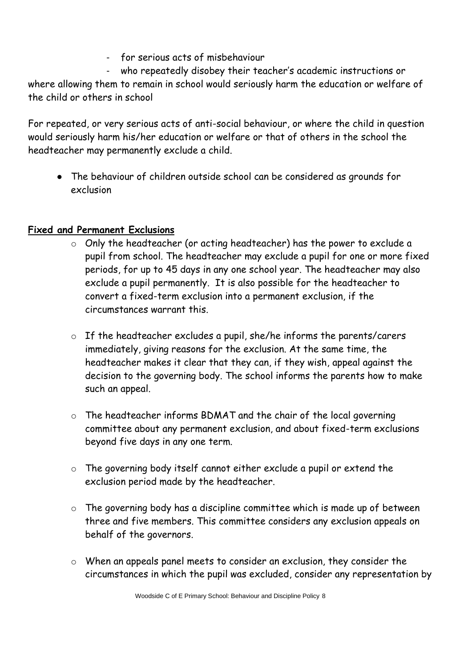- for serious acts of misbehaviour

who repeatedly disobey their teacher's academic instructions or where allowing them to remain in school would seriously harm the education or welfare of the child or others in school

For repeated, or very serious acts of anti-social behaviour, or where the child in question would seriously harm his/her education or welfare or that of others in the school the headteacher may permanently exclude a child.

• The behaviour of children outside school can be considered as grounds for exclusion

# **Fixed and Permanent Exclusions**

- o Only the headteacher (or acting headteacher) has the power to exclude a pupil from school. The headteacher may exclude a pupil for one or more fixed periods, for up to 45 days in any one school year. The headteacher may also exclude a pupil permanently. It is also possible for the headteacher to convert a fixed-term exclusion into a permanent exclusion, if the circumstances warrant this.
- o If the headteacher excludes a pupil, she/he informs the parents/carers immediately, giving reasons for the exclusion. At the same time, the headteacher makes it clear that they can, if they wish, appeal against the decision to the governing body. The school informs the parents how to make such an appeal.
- o The headteacher informs BDMAT and the chair of the local governing committee about any permanent exclusion, and about fixed-term exclusions beyond five days in any one term.
- o The governing body itself cannot either exclude a pupil or extend the exclusion period made by the headteacher.
- o The governing body has a discipline committee which is made up of between three and five members. This committee considers any exclusion appeals on behalf of the governors.
- o When an appeals panel meets to consider an exclusion, they consider the circumstances in which the pupil was excluded, consider any representation by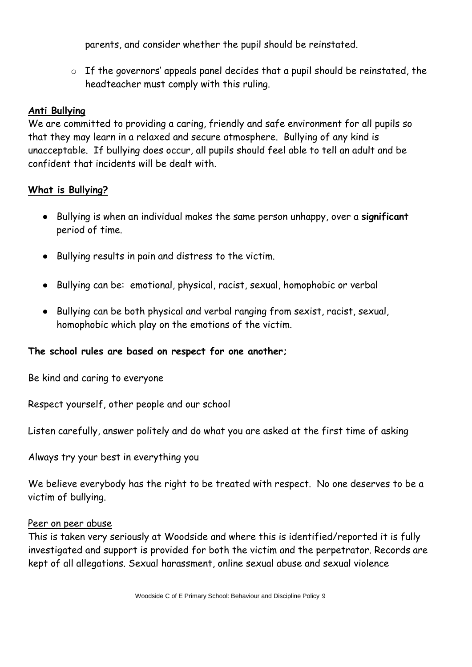parents, and consider whether the pupil should be reinstated.

o If the governors' appeals panel decides that a pupil should be reinstated, the headteacher must comply with this ruling.

#### **Anti Bullying**

We are committed to providing a caring, friendly and safe environment for all pupils so that they may learn in a relaxed and secure atmosphere. Bullying of any kind is unacceptable. If bullying does occur, all pupils should feel able to tell an adult and be confident that incidents will be dealt with.

#### **What is Bullying?**

- Bullying is when an individual makes the same person unhappy, over a **significant** period of time.
- Bullying results in pain and distress to the victim.
- Bullying can be: emotional, physical, racist, sexual, homophobic or verbal
- Bullying can be both physical and verbal ranging from sexist, racist, sexual, homophobic which play on the emotions of the victim.

#### **The school rules are based on respect for one another;**

Be kind and caring to everyone

Respect yourself, other people and our school

Listen carefully, answer politely and do what you are asked at the first time of asking

Always try your best in everything you

We believe everybody has the right to be treated with respect. No one deserves to be a victim of bullying.

#### Peer on peer abuse

This is taken very seriously at Woodside and where this is identified/reported it is fully investigated and support is provided for both the victim and the perpetrator. Records are kept of all allegations. Sexual harassment, online sexual abuse and sexual violence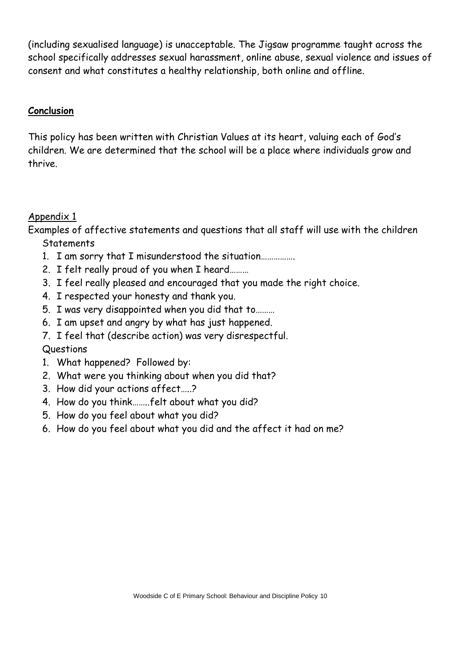(including sexualised language) is unacceptable. The Jigsaw programme taught across the school specifically addresses sexual harassment, online abuse, sexual violence and issues of consent and what constitutes a healthy relationship, both online and offline.

# **Conclusion**

This policy has been written with Christian Values at its heart, valuing each of God's children. We are determined that the school will be a place where individuals grow and thrive.

# Appendix 1

Examples of affective statements and questions that all staff will use with the children **Statements** 

- 1. I am sorry that I misunderstood the situation…………….
- 2. I felt really proud of you when I heard………
- 3. I feel really pleased and encouraged that you made the right choice.
- 4. I respected your honesty and thank you.
- 5. I was very disappointed when you did that to………
- 6. I am upset and angry by what has just happened.
- 7. I feel that (describe action) was very disrespectful.

# Questions

- 1. What happened? Followed by:
- 2. What were you thinking about when you did that?
- 3. How did your actions affect…..?
- 4. How do you think……..felt about what you did?
- 5. How do you feel about what you did?
- 6. How do you feel about what you did and the affect it had on me?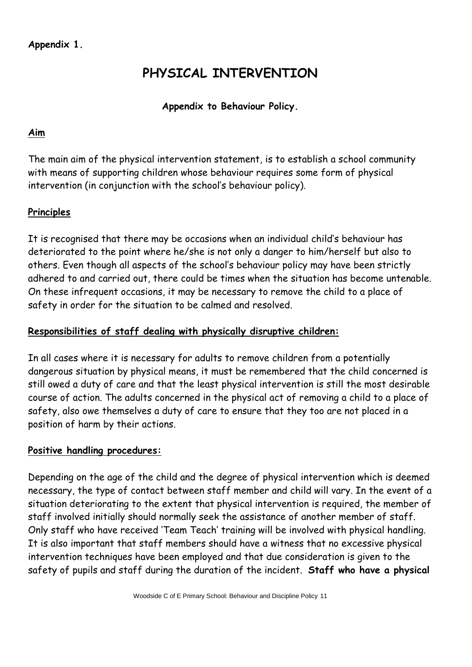# **PHYSICAL INTERVENTION**

# **Appendix to Behaviour Policy.**

#### **Aim**

The main aim of the physical intervention statement, is to establish a school community with means of supporting children whose behaviour requires some form of physical intervention (in conjunction with the school's behaviour policy).

# **Principles**

It is recognised that there may be occasions when an individual child's behaviour has deteriorated to the point where he/she is not only a danger to him/herself but also to others. Even though all aspects of the school's behaviour policy may have been strictly adhered to and carried out, there could be times when the situation has become untenable. On these infrequent occasions, it may be necessary to remove the child to a place of safety in order for the situation to be calmed and resolved.

#### **Responsibilities of staff dealing with physically disruptive children:**

In all cases where it is necessary for adults to remove children from a potentially dangerous situation by physical means, it must be remembered that the child concerned is still owed a duty of care and that the least physical intervention is still the most desirable course of action. The adults concerned in the physical act of removing a child to a place of safety, also owe themselves a duty of care to ensure that they too are not placed in a position of harm by their actions.

#### **Positive handling procedures:**

Depending on the age of the child and the degree of physical intervention which is deemed necessary, the type of contact between staff member and child will vary. In the event of a situation deteriorating to the extent that physical intervention is required, the member of staff involved initially should normally seek the assistance of another member of staff. Only staff who have received 'Team Teach' training will be involved with physical handling. It is also important that staff members should have a witness that no excessive physical intervention techniques have been employed and that due consideration is given to the safety of pupils and staff during the duration of the incident. **Staff who have a physical**